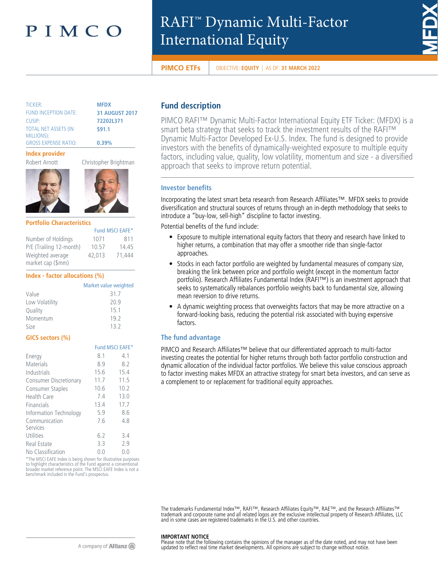# PIMCO

# RAFI™ Dynamic Multi-Factor International Equity



**PIMCO ETFs** OBJECTIVE: **EQUITY** | AS OF: **31 MARCH 2022** 

| <b>TICKER:</b>              | <b>MFDX</b> |
|-----------------------------|-------------|
| <b>FUND INCEPTION DATE:</b> | 31 AU       |
| CUSIP:                      | 72202       |
| <b>TOTAL NET ASSETS (IN</b> | \$91.1      |
| MILLIONS):                  |             |
| <b>GROSS EXPENSE RATIO:</b> | 0.39%       |

**GUST 2017** CUSIP: **72202L371**

#### **Index provider**



### **Portfolio Characteristics**

|                         |        | Fund MSCI EAFE* |
|-------------------------|--------|-----------------|
| Number of Holdings      | 1071   | 811             |
| P/E (Trailing 12-month) | 10.57  | 14.45           |
| Weighted average        | 42,013 | 71.444          |
| market cap (\$mm)       |        |                 |

#### **Index - factor allocations (%)**

|                | Market value weighted |
|----------------|-----------------------|
| Value          | 31.7                  |
| Low Volatility | 20.9                  |
| Quality        | 15.1                  |
| Momentum       | 19.2                  |
| Size           | 13.2                  |

# **GICS sectors (%)**

|                                                                     |      | Fund MSCI EAFE* |
|---------------------------------------------------------------------|------|-----------------|
| Energy                                                              | 8.1  | 4.1             |
| <b>Materials</b>                                                    | 8.9  | 8.2             |
| Industrials                                                         | 15.6 | 15.4            |
| <b>Consumer Discretionary</b>                                       | 11.7 | 11.5            |
| <b>Consumer Staples</b>                                             | 10.6 | 10.2            |
| <b>Health Care</b>                                                  | 7.4  | 13.0            |
| Financials                                                          | 13.4 | 17.7            |
| Information Technology                                              | 5.9  | 8.6             |
| Communication                                                       | 7.6  | 4.8             |
| Services                                                            |      |                 |
| Utilities                                                           | 6.2  | 3.4             |
| Real Estate                                                         | 3.3  | 2.9             |
| No Classification                                                   | 0.0  | 0.0             |
| <b>XThe MCCLEAFF Index is being shown for illustrative property</b> |      |                 |

ISCI EAFE Index is being shown for illustrative purposes to highlight characteristics of the Fund against a conventional broader market reference point. The MSCI EAFE Index is not a benchmark included in the Fund's prospectus.

# **Fund description**

PIMCO RAFI™ Dynamic Multi-Factor International Equity ETF Ticker: (MFDX) is a smart beta strategy that seeks to track the investment results of the RAFI™ Dynamic Multi-Factor Developed Ex-U.S. Index. The fund is designed to provide investors with the benefits of dynamically-weighted exposure to multiple equity factors, including value, quality, low volatility, momentum and size - a diversified approach that seeks to improve return potential.

# **Investor benefits**

Incorporating the latest smart beta research from Research Affiliates™. MFDX seeks to provide diversification and structural sources of returns through an in-depth methodology that seeks to introduce a "buy-low, sell-high" discipline to factor investing.

Potential benefits of the fund include:

- Exposure to multiple international equity factors that theory and research have linked to higher returns, a combination that may offer a smoother ride than single-factor approaches.
- Stocks in each factor portfolio are weighted by fundamental measures of company size, breaking the link between price and portfolio weight (except in the momentum factor portfolio). Research Affiliates Fundamental Index (RAFI™) is an investment approach that seeks to systematically rebalances portfolio weights back to fundamental size, allowing mean reversion to drive returns.
- A dynamic weighting process that overweights factors that may be more attractive on a forward-looking basis, reducing the potential risk associated with buying expensive factors.

# **The fund advantage**

PIMCO and Research Affiliates™ believe that our differentiated approach to multi-factor investing creates the potential for higher returns through both factor portfolio construction and dynamic allocation of the individual factor portfolios. We believe this value conscious approach to factor investing makes MFDX an attractive strategy for smart beta investors, and can serve as a complement to or replacement for traditional equity approaches.

The trademarks Fundamental Index™, RAFI™, Research Affiliates Equity™, RAE™, and the Research Affiliates™<br>trademark and corporate name and all related logos are the exclusive intellectual property of Research Affiliates,

#### **IMPORTANT NOTICE**

Please note that the following contains the opinions of the manager as of the date noted, and may not have been updated to reflect real time market developments. All opinions are subject to change without notice.